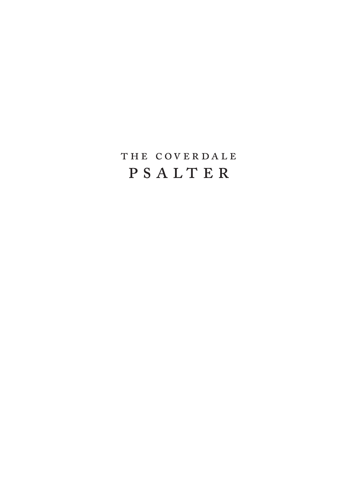## THE COVERDALE PSALTER